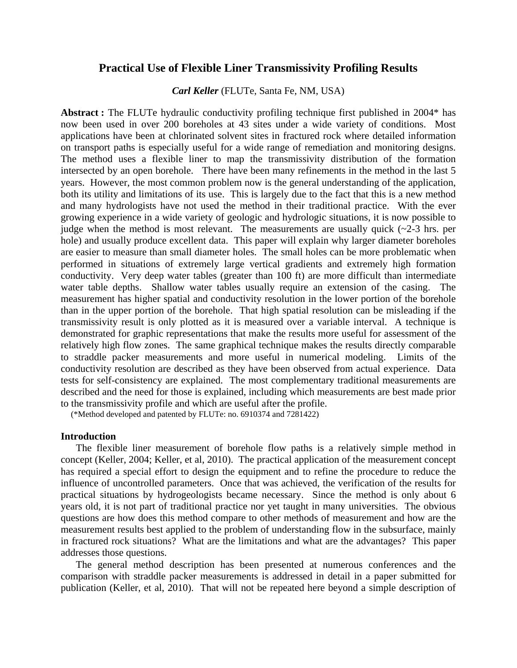## **Practical Use of Flexible Liner Transmissivity Profiling Results**

*Carl Keller* (FLUTe, Santa Fe, NM, USA)

**Abstract :** The FLUTe hydraulic conductivity profiling technique first published in 2004\* has now been used in over 200 boreholes at 43 sites under a wide variety of conditions. Most applications have been at chlorinated solvent sites in fractured rock where detailed information on transport paths is especially useful for a wide range of remediation and monitoring designs. The method uses a flexible liner to map the transmissivity distribution of the formation intersected by an open borehole. There have been many refinements in the method in the last 5 years. However, the most common problem now is the general understanding of the application, both its utility and limitations of its use. This is largely due to the fact that this is a new method and many hydrologists have not used the method in their traditional practice. With the ever growing experience in a wide variety of geologic and hydrologic situations, it is now possible to judge when the method is most relevant. The measurements are usually quick  $(\sim 2-3)$  hrs. per hole) and usually produce excellent data. This paper will explain why larger diameter boreholes are easier to measure than small diameter holes. The small holes can be more problematic when performed in situations of extremely large vertical gradients and extremely high formation conductivity. Very deep water tables (greater than 100 ft) are more difficult than intermediate water table depths. Shallow water tables usually require an extension of the casing. The measurement has higher spatial and conductivity resolution in the lower portion of the borehole than in the upper portion of the borehole. That high spatial resolution can be misleading if the transmissivity result is only plotted as it is measured over a variable interval. A technique is demonstrated for graphic representations that make the results more useful for assessment of the relatively high flow zones. The same graphical technique makes the results directly comparable to straddle packer measurements and more useful in numerical modeling. Limits of the conductivity resolution are described as they have been observed from actual experience. Data tests for self-consistency are explained. The most complementary traditional measurements are described and the need for those is explained, including which measurements are best made prior to the transmissivity profile and which are useful after the profile. (\*Method developed and patented by FLUTe: no. 6910374 and 7281422)

### **Introduction**

The flexible liner measurement of borehole flow paths is a relatively simple method in concept (Keller, 2004; Keller, et al, 2010). The practical application of the measurement concept has required a special effort to design the equipment and to refine the procedure to reduce the influence of uncontrolled parameters. Once that was achieved, the verification of the results for practical situations by hydrogeologists became necessary. Since the method is only about 6 years old, it is not part of traditional practice nor yet taught in many universities. The obvious questions are how does this method compare to other methods of measurement and how are the measurement results best applied to the problem of understanding flow in the subsurface, mainly in fractured rock situations? What are the limitations and what are the advantages? This paper addresses those questions.

The general method description has been presented at numerous conferences and the comparison with straddle packer measurements is addressed in detail in a paper submitted for publication (Keller, et al, 2010). That will not be repeated here beyond a simple description of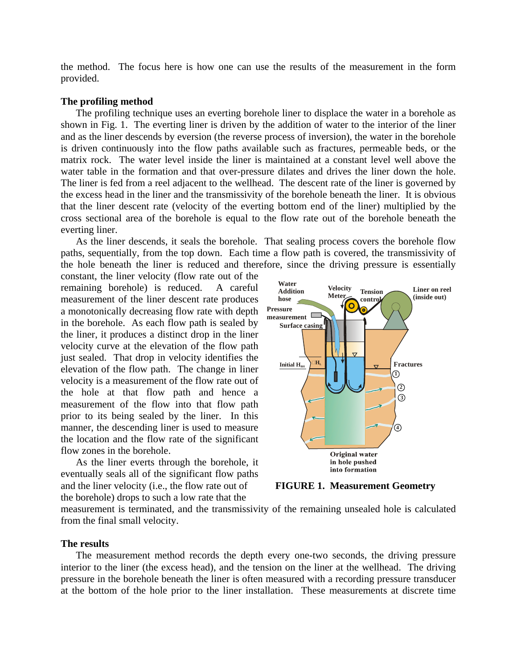the method. The focus here is how one can use the results of the measurement in the form provided.

### **The profiling method**

The profiling technique uses an everting borehole liner to displace the water in a borehole as shown in Fig. 1. The everting liner is driven by the addition of water to the interior of the liner and as the liner descends by eversion (the reverse process of inversion), the water in the borehole is driven continuously into the flow paths available such as fractures, permeable beds, or the matrix rock. The water level inside the liner is maintained at a constant level well above the water table in the formation and that over-pressure dilates and drives the liner down the hole. The liner is fed from a reel adjacent to the wellhead. The descent rate of the liner is governed by the excess head in the liner and the transmissivity of the borehole beneath the liner. It is obvious that the liner descent rate (velocity of the everting bottom end of the liner) multiplied by the cross sectional area of the borehole is equal to the flow rate out of the borehole beneath the everting liner.

As the liner descends, it seals the borehole. That sealing process covers the borehole flow paths, sequentially, from the top down. Each time a flow path is covered, the transmissivity of the hole beneath the liner is reduced and therefore, since the driving pressure is essentially

constant, the liner velocity (flow rate out of the remaining borehole) is reduced. A careful measurement of the liner descent rate produces a monotonically decreasing flow rate with depth in the borehole. As each flow path is sealed by the liner, it produces a distinct drop in the liner velocity curve at the elevation of the flow path just sealed. That drop in velocity identifies the elevation of the flow path. The change in liner velocity is a measurement of the flow rate out of the hole at that flow path and hence a measurement of the flow into that flow path prior to its being sealed by the liner. In this manner, the descending liner is used to measure the location and the flow rate of the significant flow zones in the borehole.

As the liner everts through the borehole, it eventually seals all of the significant flow paths and the liner velocity (i.e., the flow rate out of **FIGURE 1. Measurement Geometry**  the borehole) drops to such a low rate that the



measurement is terminated, and the transmissivity of the remaining unsealed hole is calculated from the final small velocity.

### **The results**

The measurement method records the depth every one-two seconds, the driving pressure interior to the liner (the excess head), and the tension on the liner at the wellhead. The driving pressure in the borehole beneath the liner is often measured with a recording pressure transducer at the bottom of the hole prior to the liner installation. These measurements at discrete time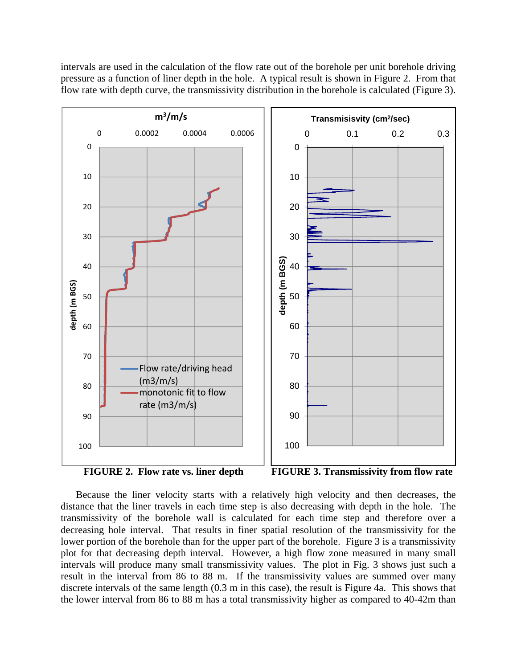intervals are used in the calculation of the flow rate out of the borehole per unit borehole driving pressure as a function of liner depth in the hole. A typical result is shown in Figure 2. From that flow rate with depth curve, the transmissivity distribution in the borehole is calculated (Figure 3).



Because the liner velocity starts with a relatively high velocity and then decreases, the distance that the liner travels in each time step is also decreasing with depth in the hole. The transmissivity of the borehole wall is calculated for each time step and therefore over a decreasing hole interval. That results in finer spatial resolution of the transmissivity for the lower portion of the borehole than for the upper part of the borehole. Figure 3 is a transmissivity plot for that decreasing depth interval. However, a high flow zone measured in many small intervals will produce many small transmissivity values. The plot in Fig. 3 shows just such a result in the interval from 86 to 88 m. If the transmissivity values are summed over many discrete intervals of the same length (0.3 m in this case), the result is Figure 4a. This shows that the lower interval from 86 to 88 m has a total transmissivity higher as compared to 40-42m than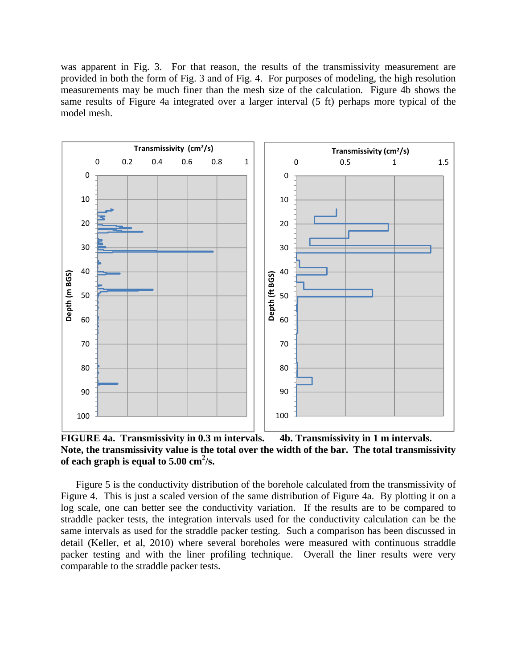was apparent in Fig. 3. For that reason, the results of the transmissivity measurement are provided in both the form of Fig. 3 and of Fig. 4. For purposes of modeling, the high resolution measurements may be much finer than the mesh size of the calculation. Figure 4b shows the same results of Figure 4a integrated over a larger interval (5 ft) perhaps more typical of the model mesh.



**FIGURE 4a. Transmissivity in 0.3 m intervals. 4b. Transmissivity in 1 m intervals. Note, the transmissivity value is the total over the width of the bar. The total transmissivity of each graph is equal to 5.00 cm<sup>2</sup> /s.** 

Figure 5 is the conductivity distribution of the borehole calculated from the transmissivity of Figure 4. This is just a scaled version of the same distribution of Figure 4a. By plotting it on a log scale, one can better see the conductivity variation. If the results are to be compared to straddle packer tests, the integration intervals used for the conductivity calculation can be the same intervals as used for the straddle packer testing. Such a comparison has been discussed in detail (Keller, et al, 2010) where several boreholes were measured with continuous straddle packer testing and with the liner profiling technique. Overall the liner results were very comparable to the straddle packer tests.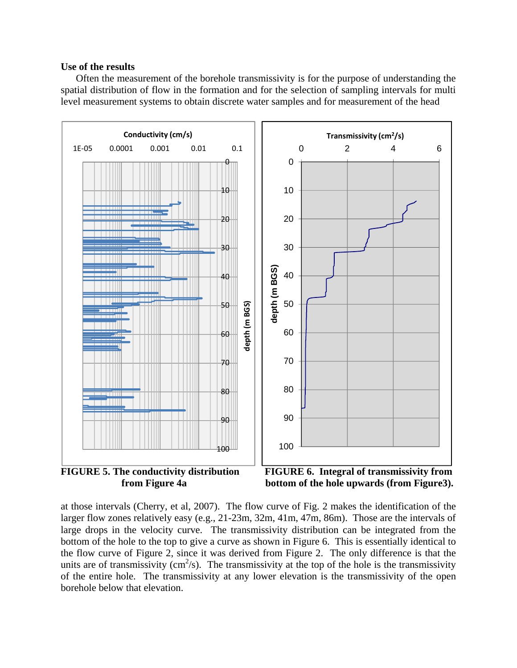### **Use of the results**

Often the measurement of the borehole transmissivity is for the purpose of understanding the spatial distribution of flow in the formation and for the selection of sampling intervals for multi level measurement systems to obtain discrete water samples and for measurement of the head



at those intervals (Cherry, et al, 2007). The flow curve of Fig. 2 makes the identification of the larger flow zones relatively easy (e.g., 21-23m, 32m, 41m, 47m, 86m). Those are the intervals of large drops in the velocity curve. The transmissivity distribution can be integrated from the bottom of the hole to the top to give a curve as shown in Figure 6. This is essentially identical to the flow curve of Figure 2, since it was derived from Figure 2. The only difference is that the units are of transmissivity ( $\text{cm}^2/\text{s}$ ). The transmissivity at the top of the hole is the transmissivity of the entire hole. The transmissivity at any lower elevation is the transmissivity of the open borehole below that elevation.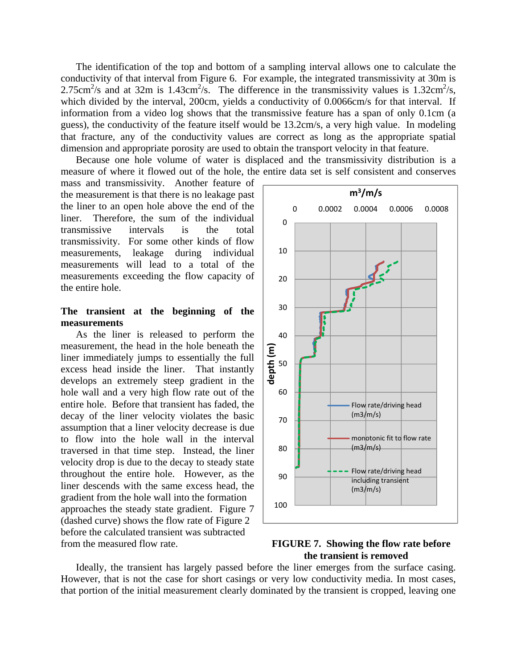The identification of the top and bottom of a sampling interval allows one to calculate the conductivity of that interval from Figure 6. For example, the integrated transmissivity at 30m is 2.75cm<sup>2</sup>/s and at 32m is 1.43cm<sup>2</sup>/s. The difference in the transmissivity values is 1.32cm<sup>2</sup>/s, which divided by the interval, 200cm, yields a conductivity of 0.0066cm/s for that interval. If information from a video log shows that the transmissive feature has a span of only 0.1cm (a guess), the conductivity of the feature itself would be 13.2cm/s, a very high value. In modeling that fracture, any of the conductivity values are correct as long as the appropriate spatial dimension and appropriate porosity are used to obtain the transport velocity in that feature.

Because one hole volume of water is displaced and the transmissivity distribution is a measure of where it flowed out of the hole, the entire data set is self consistent and conserves

mass and transmissivity. Another feature of the measurement is that there is no leakage past the liner to an open hole above the end of the liner. Therefore, the sum of the individual transmissive intervals is the total transmissivity. For some other kinds of flow measurements, leakage during individual measurements will lead to a total of the measurements exceeding the flow capacity of the entire hole.

### **The transient at the beginning of the measurements**

As the liner is released to perform the measurement, the head in the hole beneath the liner immediately jumps to essentially the full excess head inside the liner. That instantly develops an extremely steep gradient in the hole wall and a very high flow rate out of the entire hole. Before that transient has faded, the decay of the liner velocity violates the basic assumption that a liner velocity decrease is due to flow into the hole wall in the interval traversed in that time step. Instead, the liner velocity drop is due to the decay to steady state throughout the entire hole. However, as the liner descends with the same excess head, the gradient from the hole wall into the formation approaches the steady state gradient. Figure 7 (dashed curve) shows the flow rate of Figure 2 before the calculated transient was subtracted from the measured flow rate. **FIGURE 7. Showing the flow rate before** 



# **the transient is removed**

Ideally, the transient has largely passed before the liner emerges from the surface casing. However, that is not the case for short casings or very low conductivity media. In most cases, that portion of the initial measurement clearly dominated by the transient is cropped, leaving one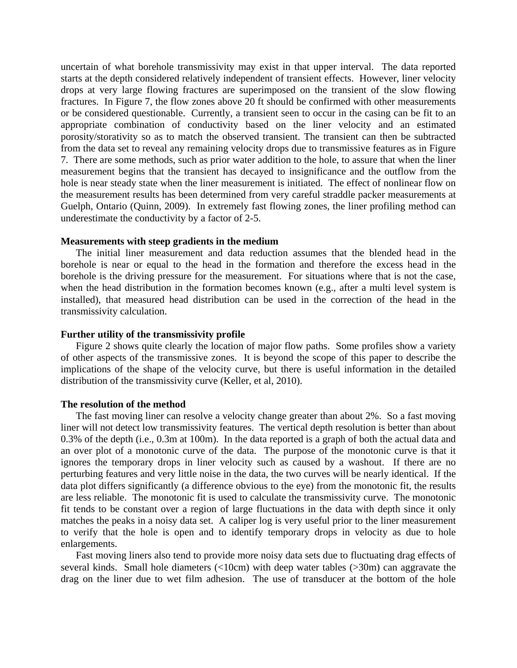uncertain of what borehole transmissivity may exist in that upper interval. The data reported starts at the depth considered relatively independent of transient effects. However, liner velocity drops at very large flowing fractures are superimposed on the transient of the slow flowing fractures. In Figure 7, the flow zones above 20 ft should be confirmed with other measurements or be considered questionable. Currently, a transient seen to occur in the casing can be fit to an appropriate combination of conductivity based on the liner velocity and an estimated porosity/storativity so as to match the observed transient. The transient can then be subtracted from the data set to reveal any remaining velocity drops due to transmissive features as in Figure 7. There are some methods, such as prior water addition to the hole, to assure that when the liner measurement begins that the transient has decayed to insignificance and the outflow from the hole is near steady state when the liner measurement is initiated. The effect of nonlinear flow on the measurement results has been determined from very careful straddle packer measurements at Guelph, Ontario (Quinn, 2009). In extremely fast flowing zones, the liner profiling method can underestimate the conductivity by a factor of 2-5.

### **Measurements with steep gradients in the medium**

The initial liner measurement and data reduction assumes that the blended head in the borehole is near or equal to the head in the formation and therefore the excess head in the borehole is the driving pressure for the measurement. For situations where that is not the case, when the head distribution in the formation becomes known (e.g., after a multi level system is installed), that measured head distribution can be used in the correction of the head in the transmissivity calculation.

### **Further utility of the transmissivity profile**

Figure 2 shows quite clearly the location of major flow paths. Some profiles show a variety of other aspects of the transmissive zones. It is beyond the scope of this paper to describe the implications of the shape of the velocity curve, but there is useful information in the detailed distribution of the transmissivity curve (Keller, et al, 2010).

### **The resolution of the method**

The fast moving liner can resolve a velocity change greater than about 2%. So a fast moving liner will not detect low transmissivity features. The vertical depth resolution is better than about 0.3% of the depth (i.e., 0.3m at 100m). In the data reported is a graph of both the actual data and an over plot of a monotonic curve of the data. The purpose of the monotonic curve is that it ignores the temporary drops in liner velocity such as caused by a washout. If there are no perturbing features and very little noise in the data, the two curves will be nearly identical. If the data plot differs significantly (a difference obvious to the eye) from the monotonic fit, the results are less reliable. The monotonic fit is used to calculate the transmissivity curve. The monotonic fit tends to be constant over a region of large fluctuations in the data with depth since it only matches the peaks in a noisy data set. A caliper log is very useful prior to the liner measurement to verify that the hole is open and to identify temporary drops in velocity as due to hole enlargements.

Fast moving liners also tend to provide more noisy data sets due to fluctuating drag effects of several kinds. Small hole diameters  $\left($ <10cm) with deep water tables  $\left($ >30m) can aggravate the drag on the liner due to wet film adhesion. The use of transducer at the bottom of the hole